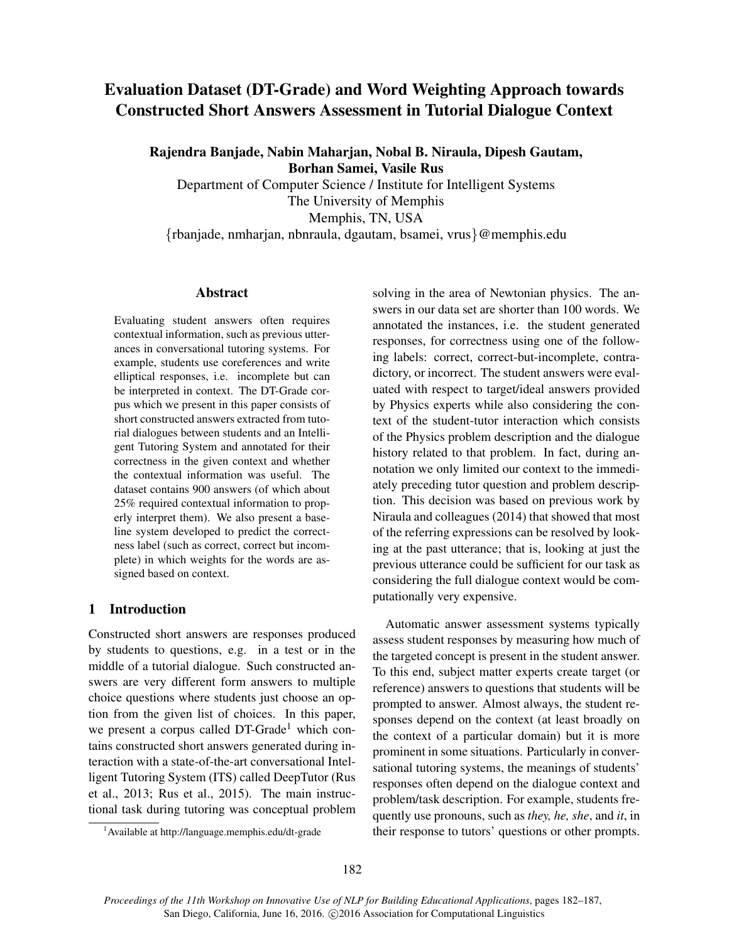# Evaluation Dataset (DT-Grade) and Word Weighting Approach towards Constructed Short Answers Assessment in Tutorial Dialogue Context

Rajendra Banjade, Nabin Maharjan, Nobal B. Niraula, Dipesh Gautam, Borhan Samei, Vasile Rus

Department of Computer Science / Institute for Intelligent Systems The University of Memphis Memphis, TN, USA

{rbanjade, nmharjan, nbnraula, dgautam, bsamei, vrus}@memphis.edu

#### Abstract

Evaluating student answers often requires contextual information, such as previous utterances in conversational tutoring systems. For example, students use coreferences and write elliptical responses, i.e. incomplete but can be interpreted in context. The DT-Grade corpus which we present in this paper consists of short constructed answers extracted from tutorial dialogues between students and an Intelligent Tutoring System and annotated for their correctness in the given context and whether the contextual information was useful. The dataset contains 900 answers (of which about 25% required contextual information to properly interpret them). We also present a baseline system developed to predict the correctness label (such as correct, correct but incomplete) in which weights for the words are assigned based on context.

## 1 Introduction

Constructed short answers are responses produced by students to questions, e.g. in a test or in the middle of a tutorial dialogue. Such constructed answers are very different form answers to multiple choice questions where students just choose an option from the given list of choices. In this paper, we present a corpus called  $DT\text{-}\text{Grade}^1$  which contains constructed short answers generated during interaction with a state-of-the-art conversational Intelligent Tutoring System (ITS) called DeepTutor (Rus et al., 2013; Rus et al., 2015). The main instructional task during tutoring was conceptual problem solving in the area of Newtonian physics. The answers in our data set are shorter than 100 words. We annotated the instances, i.e. the student generated responses, for correctness using one of the following labels: correct, correct-but-incomplete, contradictory, or incorrect. The student answers were evaluated with respect to target/ideal answers provided by Physics experts while also considering the context of the student-tutor interaction which consists of the Physics problem description and the dialogue history related to that problem. In fact, during annotation we only limited our context to the immediately preceding tutor question and problem description. This decision was based on previous work by Niraula and colleagues (2014) that showed that most of the referring expressions can be resolved by looking at the past utterance; that is, looking at just the previous utterance could be sufficient for our task as considering the full dialogue context would be computationally very expensive.

Automatic answer assessment systems typically assess student responses by measuring how much of the targeted concept is present in the student answer. To this end, subject matter experts create target (or reference) answers to questions that students will be prompted to answer. Almost always, the student responses depend on the context (at least broadly on the context of a particular domain) but it is more prominent in some situations. Particularly in conversational tutoring systems, the meanings of students' responses often depend on the dialogue context and problem/task description. For example, students frequently use pronouns, such as *they, he, she*, and *it*, in their response to tutors' questions or other prompts.

<sup>1</sup>Available at http://language.memphis.edu/dt-grade

*Proceedings of the 11th Workshop on Innovative Use of NLP for Building Educational Applications*, pages 182–187, San Diego, California, June 16, 2016. ©2016 Association for Computational Linguistics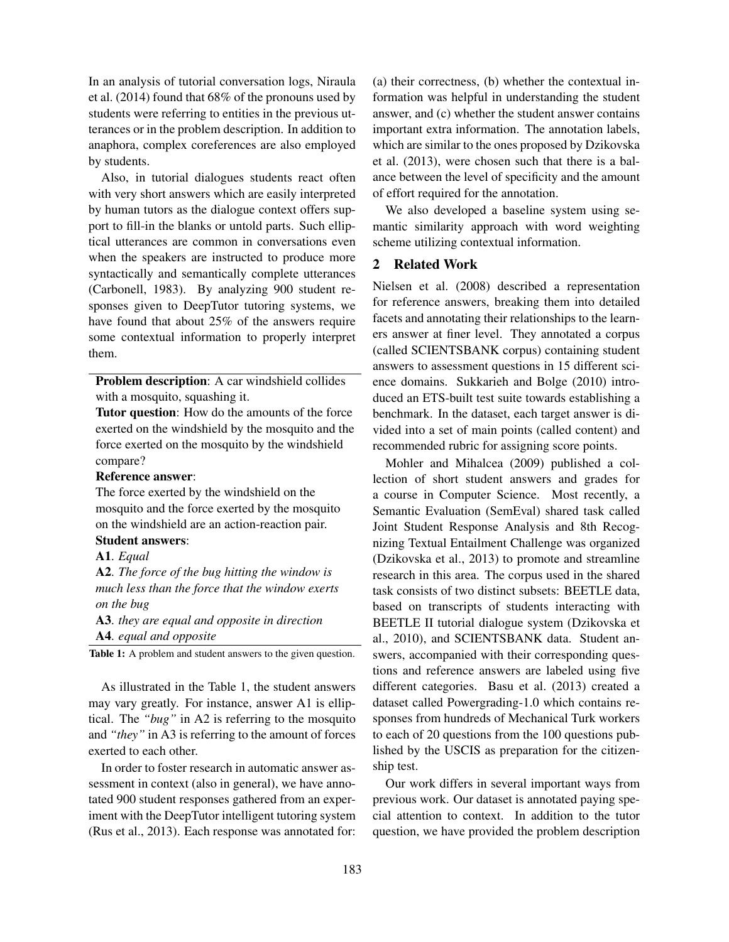In an analysis of tutorial conversation logs, Niraula et al. (2014) found that 68% of the pronouns used by students were referring to entities in the previous utterances or in the problem description. In addition to anaphora, complex coreferences are also employed by students.

Also, in tutorial dialogues students react often with very short answers which are easily interpreted by human tutors as the dialogue context offers support to fill-in the blanks or untold parts. Such elliptical utterances are common in conversations even when the speakers are instructed to produce more syntactically and semantically complete utterances (Carbonell, 1983). By analyzing 900 student responses given to DeepTutor tutoring systems, we have found that about 25% of the answers require some contextual information to properly interpret them.

Problem description: A car windshield collides with a mosquito, squashing it.

Tutor question: How do the amounts of the force exerted on the windshield by the mosquito and the force exerted on the mosquito by the windshield compare?

### Reference answer:

The force exerted by the windshield on the mosquito and the force exerted by the mosquito on the windshield are an action-reaction pair. Student answers:

## A1. *Equal*

A2. *The force of the bug hitting the window is much less than the force that the window exerts on the bug*

A3. *they are equal and opposite in direction* A4. *equal and opposite*

Table 1: A problem and student answers to the given question.

As illustrated in the Table 1, the student answers may vary greatly. For instance, answer A1 is elliptical. The *"bug"* in A2 is referring to the mosquito and *"they"* in A3 is referring to the amount of forces exerted to each other.

In order to foster research in automatic answer assessment in context (also in general), we have annotated 900 student responses gathered from an experiment with the DeepTutor intelligent tutoring system (Rus et al., 2013). Each response was annotated for: (a) their correctness, (b) whether the contextual information was helpful in understanding the student answer, and (c) whether the student answer contains important extra information. The annotation labels, which are similar to the ones proposed by Dzikovska et al. (2013), were chosen such that there is a balance between the level of specificity and the amount of effort required for the annotation.

We also developed a baseline system using semantic similarity approach with word weighting scheme utilizing contextual information.

### 2 Related Work

Nielsen et al. (2008) described a representation for reference answers, breaking them into detailed facets and annotating their relationships to the learners answer at finer level. They annotated a corpus (called SCIENTSBANK corpus) containing student answers to assessment questions in 15 different science domains. Sukkarieh and Bolge (2010) introduced an ETS-built test suite towards establishing a benchmark. In the dataset, each target answer is divided into a set of main points (called content) and recommended rubric for assigning score points.

Mohler and Mihalcea (2009) published a collection of short student answers and grades for a course in Computer Science. Most recently, a Semantic Evaluation (SemEval) shared task called Joint Student Response Analysis and 8th Recognizing Textual Entailment Challenge was organized (Dzikovska et al., 2013) to promote and streamline research in this area. The corpus used in the shared task consists of two distinct subsets: BEETLE data, based on transcripts of students interacting with BEETLE II tutorial dialogue system (Dzikovska et al., 2010), and SCIENTSBANK data. Student answers, accompanied with their corresponding questions and reference answers are labeled using five different categories. Basu et al. (2013) created a dataset called Powergrading-1.0 which contains responses from hundreds of Mechanical Turk workers to each of 20 questions from the 100 questions published by the USCIS as preparation for the citizenship test.

Our work differs in several important ways from previous work. Our dataset is annotated paying special attention to context. In addition to the tutor question, we have provided the problem description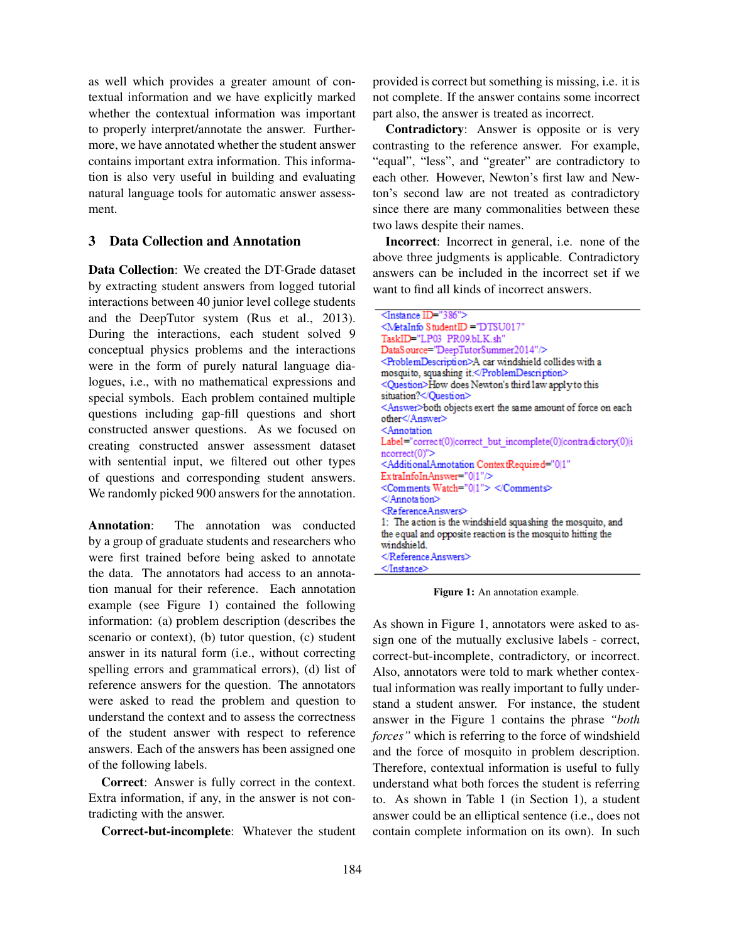as well which provides a greater amount of contextual information and we have explicitly marked whether the contextual information was important to properly interpret/annotate the answer. Furthermore, we have annotated whether the student answer contains important extra information. This information is also very useful in building and evaluating natural language tools for automatic answer assessment.

## 3 Data Collection and Annotation

Data Collection: We created the DT-Grade dataset by extracting student answers from logged tutorial interactions between 40 junior level college students and the DeepTutor system (Rus et al., 2013). During the interactions, each student solved 9 conceptual physics problems and the interactions were in the form of purely natural language dialogues, i.e., with no mathematical expressions and special symbols. Each problem contained multiple questions including gap-fill questions and short constructed answer questions. As we focused on creating constructed answer assessment dataset with sentential input, we filtered out other types of questions and corresponding student answers. We randomly picked 900 answers for the annotation.

Annotation: The annotation was conducted by a group of graduate students and researchers who were first trained before being asked to annotate the data. The annotators had access to an annotation manual for their reference. Each annotation example (see Figure 1) contained the following information: (a) problem description (describes the scenario or context), (b) tutor question, (c) student answer in its natural form (i.e., without correcting spelling errors and grammatical errors), (d) list of reference answers for the question. The annotators were asked to read the problem and question to understand the context and to assess the correctness of the student answer with respect to reference answers. Each of the answers has been assigned one of the following labels.

Correct: Answer is fully correct in the context. Extra information, if any, in the answer is not contradicting with the answer.

Correct-but-incomplete: Whatever the student

provided is correct but something is missing, i.e. it is not complete. If the answer contains some incorrect part also, the answer is treated as incorrect.

Contradictory: Answer is opposite or is very contrasting to the reference answer. For example, "equal", "less", and "greater" are contradictory to each other. However, Newton's first law and Newton's second law are not treated as contradictory since there are many commonalities between these two laws despite their names.

Incorrect: Incorrect in general, i.e. none of the above three judgments is applicable. Contradictory answers can be included in the incorrect set if we want to find all kinds of incorrect answers.

Figure 1: An annotation example.

As shown in Figure 1, annotators were asked to assign one of the mutually exclusive labels - correct, correct-but-incomplete, contradictory, or incorrect. Also, annotators were told to mark whether contextual information was really important to fully understand a student answer. For instance, the student answer in the Figure 1 contains the phrase *"both forces"* which is referring to the force of windshield and the force of mosquito in problem description. Therefore, contextual information is useful to fully understand what both forces the student is referring to. As shown in Table 1 (in Section 1), a student answer could be an elliptical sentence (i.e., does not contain complete information on its own). In such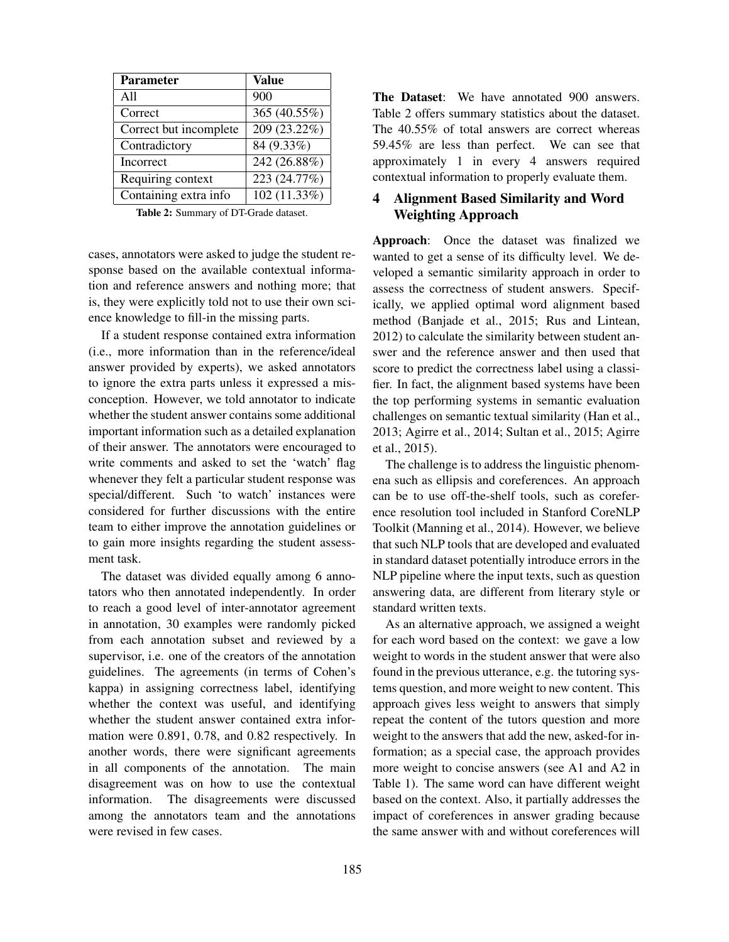| <b>Parameter</b>       | <b>Value</b>   |
|------------------------|----------------|
| A11                    | 900            |
| Correct                | 365 (40.55%)   |
| Correct but incomplete | $209(23.22\%)$ |
| Contradictory          | 84 (9.33%)     |
| Incorrect              | 242 (26.88%)   |
| Requiring context      | 223 (24.77%)   |
| Containing extra info  | 102 (11.33%)   |

Table 2: Summary of DT-Grade dataset.

cases, annotators were asked to judge the student response based on the available contextual information and reference answers and nothing more; that is, they were explicitly told not to use their own science knowledge to fill-in the missing parts.

If a student response contained extra information (i.e., more information than in the reference/ideal answer provided by experts), we asked annotators to ignore the extra parts unless it expressed a misconception. However, we told annotator to indicate whether the student answer contains some additional important information such as a detailed explanation of their answer. The annotators were encouraged to write comments and asked to set the 'watch' flag whenever they felt a particular student response was special/different. Such 'to watch' instances were considered for further discussions with the entire team to either improve the annotation guidelines or to gain more insights regarding the student assessment task.

The dataset was divided equally among 6 annotators who then annotated independently. In order to reach a good level of inter-annotator agreement in annotation, 30 examples were randomly picked from each annotation subset and reviewed by a supervisor, i.e. one of the creators of the annotation guidelines. The agreements (in terms of Cohen's kappa) in assigning correctness label, identifying whether the context was useful, and identifying whether the student answer contained extra information were 0.891, 0.78, and 0.82 respectively. In another words, there were significant agreements in all components of the annotation. The main disagreement was on how to use the contextual information. The disagreements were discussed among the annotators team and the annotations were revised in few cases.

The Dataset: We have annotated 900 answers. Table 2 offers summary statistics about the dataset. The 40.55% of total answers are correct whereas 59.45% are less than perfect. We can see that approximately 1 in every 4 answers required contextual information to properly evaluate them.

## 4 Alignment Based Similarity and Word Weighting Approach

Approach: Once the dataset was finalized we wanted to get a sense of its difficulty level. We developed a semantic similarity approach in order to assess the correctness of student answers. Specifically, we applied optimal word alignment based method (Banjade et al., 2015; Rus and Lintean, 2012) to calculate the similarity between student answer and the reference answer and then used that score to predict the correctness label using a classifier. In fact, the alignment based systems have been the top performing systems in semantic evaluation challenges on semantic textual similarity (Han et al., 2013; Agirre et al., 2014; Sultan et al., 2015; Agirre et al., 2015).

The challenge is to address the linguistic phenomena such as ellipsis and coreferences. An approach can be to use off-the-shelf tools, such as coreference resolution tool included in Stanford CoreNLP Toolkit (Manning et al., 2014). However, we believe that such NLP tools that are developed and evaluated in standard dataset potentially introduce errors in the NLP pipeline where the input texts, such as question answering data, are different from literary style or standard written texts.

As an alternative approach, we assigned a weight for each word based on the context: we gave a low weight to words in the student answer that were also found in the previous utterance, e.g. the tutoring systems question, and more weight to new content. This approach gives less weight to answers that simply repeat the content of the tutors question and more weight to the answers that add the new, asked-for information; as a special case, the approach provides more weight to concise answers (see A1 and A2 in Table 1). The same word can have different weight based on the context. Also, it partially addresses the impact of coreferences in answer grading because the same answer with and without coreferences will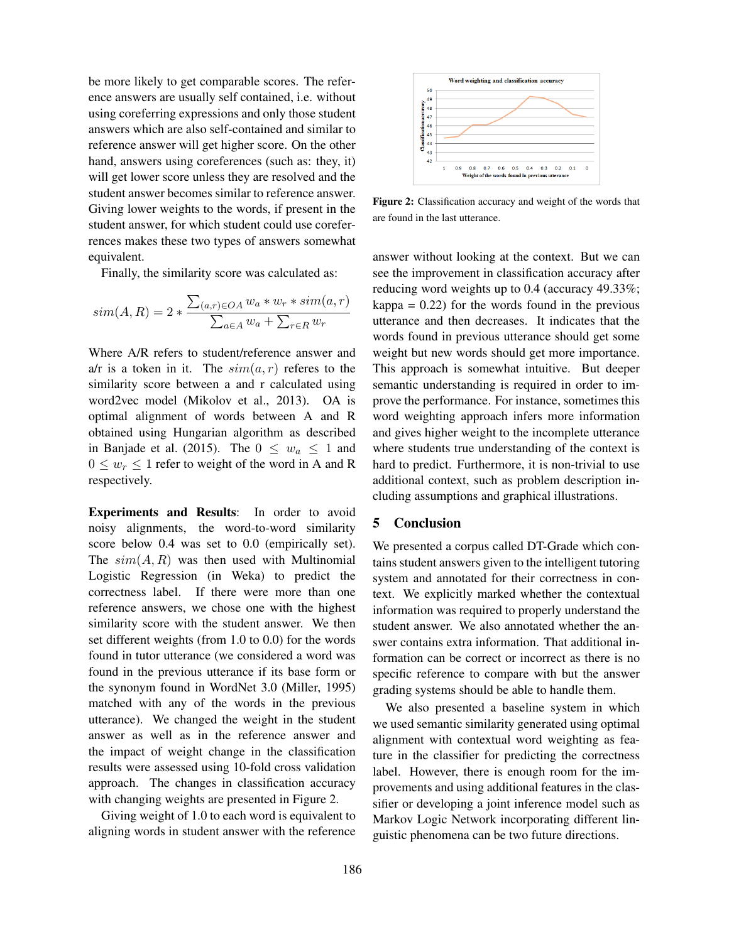be more likely to get comparable scores. The reference answers are usually self contained, i.e. without using coreferring expressions and only those student answers which are also self-contained and similar to reference answer will get higher score. On the other hand, answers using coreferences (such as: they, it) will get lower score unless they are resolved and the student answer becomes similar to reference answer. Giving lower weights to the words, if present in the student answer, for which student could use coreferrences makes these two types of answers somewhat equivalent.

Finally, the similarity score was calculated as:

$$
sim(A, R) = 2 * \frac{\sum_{(a,r) \in OA} w_a * w_r * sim(a,r)}{\sum_{a \in A} w_a + \sum_{r \in R} w_r}
$$

Where A/R refers to student/reference answer and a/r is a token in it. The  $sim(a, r)$  referes to the similarity score between a and r calculated using word2vec model (Mikolov et al., 2013). OA is optimal alignment of words between A and R obtained using Hungarian algorithm as described in Banjade et al. (2015). The  $0 \leq w_a \leq 1$  and  $0 \leq w_r \leq 1$  refer to weight of the word in A and R respectively.

Experiments and Results: In order to avoid noisy alignments, the word-to-word similarity score below 0.4 was set to 0.0 (empirically set). The  $sim(A, R)$  was then used with Multinomial Logistic Regression (in Weka) to predict the correctness label. If there were more than one reference answers, we chose one with the highest similarity score with the student answer. We then set different weights (from 1.0 to 0.0) for the words found in tutor utterance (we considered a word was found in the previous utterance if its base form or the synonym found in WordNet 3.0 (Miller, 1995) matched with any of the words in the previous utterance). We changed the weight in the student answer as well as in the reference answer and the impact of weight change in the classification results were assessed using 10-fold cross validation approach. The changes in classification accuracy with changing weights are presented in Figure 2.

Giving weight of 1.0 to each word is equivalent to aligning words in student answer with the reference



Figure 2: Classification accuracy and weight of the words that are found in the last utterance.

answer without looking at the context. But we can see the improvement in classification accuracy after reducing word weights up to 0.4 (accuracy 49.33%;  $kappa = 0.22$ ) for the words found in the previous utterance and then decreases. It indicates that the words found in previous utterance should get some weight but new words should get more importance. This approach is somewhat intuitive. But deeper semantic understanding is required in order to improve the performance. For instance, sometimes this word weighting approach infers more information and gives higher weight to the incomplete utterance where students true understanding of the context is hard to predict. Furthermore, it is non-trivial to use additional context, such as problem description including assumptions and graphical illustrations.

### 5 Conclusion

We presented a corpus called DT-Grade which contains student answers given to the intelligent tutoring system and annotated for their correctness in context. We explicitly marked whether the contextual information was required to properly understand the student answer. We also annotated whether the answer contains extra information. That additional information can be correct or incorrect as there is no specific reference to compare with but the answer grading systems should be able to handle them.

We also presented a baseline system in which we used semantic similarity generated using optimal alignment with contextual word weighting as feature in the classifier for predicting the correctness label. However, there is enough room for the improvements and using additional features in the classifier or developing a joint inference model such as Markov Logic Network incorporating different linguistic phenomena can be two future directions.